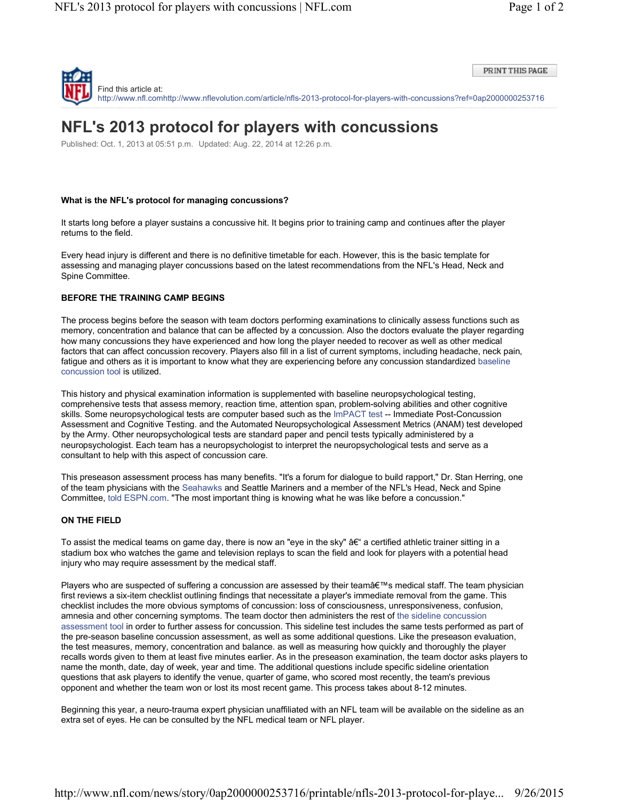

PRINT THIS PAGE

# **NFL's 2013 protocol for players with concussions**

Published: Oct. 1, 2013 at 05:51 p.m. Updated: Aug. 22, 2014 at 12:26 p.m.

### **What is the NFL's protocol for managing concussions?**

It starts long before a player sustains a concussive hit. It begins prior to training camp and continues after the player returns to the field.

Every head injury is different and there is no definitive timetable for each. However, this is the basic template for assessing and managing player concussions based on the latest recommendations from the NFL's Head, Neck and Spine Committee.

### **BEFORE THE TRAINING CAMP BEGINS**

The process begins before the season with team doctors performing examinations to clinically assess functions such as memory, concentration and balance that can be affected by a concussion. Also the doctors evaluate the player regarding how many concussions they have experienced and how long the player needed to recover as well as other medical factors that can affect concussion recovery. Players also fill in a list of current symptoms, including headache, neck pain, fatigue and others as it is important to know what they are experiencing before any concussion standardized baseline concussion tool is utilized.

This history and physical examination information is supplemented with baseline neuropsychological testing, comprehensive tests that assess memory, reaction time, attention span, problem-solving abilities and other cognitive skills. Some neuropsychological tests are computer based such as the ImPACT test -- Immediate Post-Concussion Assessment and Cognitive Testing. and the Automated Neuropsychological Assessment Metrics (ANAM) test developed by the Army. Other neuropsychological tests are standard paper and pencil tests typically administered by a neuropsychologist. Each team has a neuropsychologist to interpret the neuropsychological tests and serve as a consultant to help with this aspect of concussion care.

This preseason assessment process has many benefits. "It's a forum for dialogue to build rapport," Dr. Stan Herring, one of the team physicians with the Seahawks and Seattle Mariners and a member of the NFL's Head, Neck and Spine Committee, told ESPN.com. "The most important thing is knowing what he was like before a concussion."

#### **ON THE FIELD**

To assist the medical teams on game day, there is now an "eye in the sky" â€" a certified athletic trainer sitting in a stadium box who watches the game and television replays to scan the field and look for players with a potential head injury who may require assessment by the medical staff.

Players who are suspected of suffering a concussion are assessed by their team's medical staff. The team physician first reviews a six-item checklist outlining findings that necessitate a player's immediate removal from the game. This checklist includes the more obvious symptoms of concussion: loss of consciousness, unresponsiveness, confusion, amnesia and other concerning symptoms. The team doctor then administers the rest of the sideline concussion assessment tool in order to further assess for concussion. This sideline test includes the same tests performed as part of the pre-season baseline concussion assessment, as well as some additional questions. Like the preseason evaluation, the test measures, memory, concentration and balance. as well as measuring how quickly and thoroughly the player recalls words given to them at least five minutes earlier. As in the preseason examination, the team doctor asks players to name the month, date, day of week, year and time. The additional questions include specific sideline orientation questions that ask players to identify the venue, quarter of game, who scored most recently, the team's previous opponent and whether the team won or lost its most recent game. This process takes about 8-12 minutes.

Beginning this year, a neuro-trauma expert physician unaffiliated with an NFL team will be available on the sideline as an extra set of eyes. He can be consulted by the NFL medical team or NFL player.